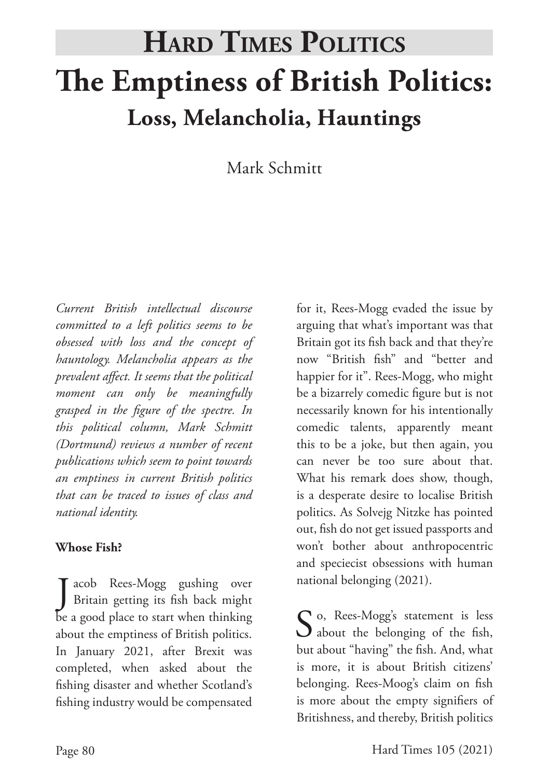# **The Emptiness of British Politics: Loss, Melancholia, Hauntings Hard Times Politics**

Mark Schmitt

*Current British intellectual discourse committed to a left politics seems to be obsessed with loss and the concept of hauntology. Melancholia appears as the prevalent affect. It seems that the political moment can only be meaningfully grasped in the figure of the spectre. In this political column, Mark Schmitt (Dortmund) reviews a number of recent publications which seem to point towards an emptiness in current British politics that can be traced to issues of class and national identity.* 

#### **Whose Fish?**

J acob Rees-Mogg gushing over<br>Britain getting its fish back might Tacob Rees-Mogg gushing over be a good place to start when thinking about the emptiness of British politics. In January 2021, after Brexit was completed, when asked about the fishing disaster and whether Scotland's fishing industry would be compensated

for it, Rees-Mogg evaded the issue by arguing that what's important was that Britain got its fish back and that they're now "British fish" and "better and happier for it". Rees-Mogg, who might be a bizarrely comedic figure but is not necessarily known for his intentionally comedic talents, apparently meant this to be a joke, but then again, you can never be too sure about that. What his remark does show, though, is a desperate desire to localise British politics. As Solvejg Nitzke has pointed out, fish do not get issued passports and won't bother about anthropocentric and speciecist obsessions with human national belonging (2021).

So, Rees-Mogg's statement is less<br>about the belonging of the fish, but about "having" the fish. And, what is more, it is about British citizens' belonging. Rees-Moog's claim on fish is more about the empty signifiers of Britishness, and thereby, British politics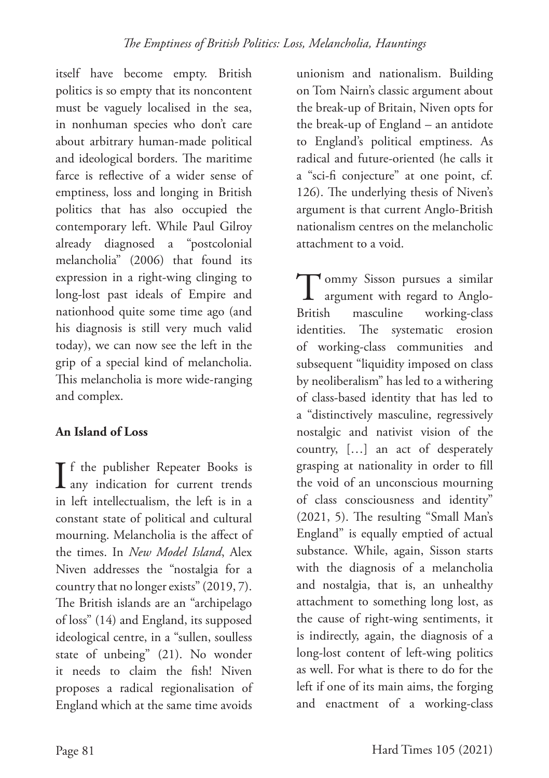itself have become empty. British politics is so empty that its noncontent must be vaguely localised in the sea, in nonhuman species who don't care about arbitrary human-made political and ideological borders. The maritime farce is reflective of a wider sense of emptiness, loss and longing in British politics that has also occupied the contemporary left. While Paul Gilroy already diagnosed a "postcolonial melancholia" (2006) that found its expression in a right-wing clinging to long-lost past ideals of Empire and nationhood quite some time ago (and his diagnosis is still very much valid today), we can now see the left in the grip of a special kind of melancholia. This melancholia is more wide-ranging and complex.

## **An Island of Loss**

 $\prod$  f the publisher Repeater Books is<br>any indication for current trends T f the publisher Repeater Books is in left intellectualism, the left is in a constant state of political and cultural mourning. Melancholia is the affect of the times. In *New Model Island*, Alex Niven addresses the "nostalgia for a country that no longer exists" (2019, 7). The British islands are an "archipelago of loss" (14) and England, its supposed ideological centre, in a "sullen, soulless state of unbeing" (21). No wonder it needs to claim the fish! Niven proposes a radical regionalisation of England which at the same time avoids

unionism and nationalism. Building on Tom Nairn's classic argument about the break-up of Britain, Niven opts for the break-up of England – an antidote to England's political emptiness. As radical and future-oriented (he calls it a "sci-fi conjecture" at one point, cf. 126). The underlying thesis of Niven's argument is that current Anglo-British nationalism centres on the melancholic attachment to a void.

Tommy Sisson pursues a similar<br>argument with regard to Anglo-<br>British masculine working-class argument with regard to Angloworking-class identities. The systematic erosion of working-class communities and subsequent "liquidity imposed on class by neoliberalism" has led to a withering of class-based identity that has led to a "distinctively masculine, regressively nostalgic and nativist vision of the country, […] an act of desperately grasping at nationality in order to fill the void of an unconscious mourning of class consciousness and identity" (2021, 5). The resulting "Small Man's England" is equally emptied of actual substance. While, again, Sisson starts with the diagnosis of a melancholia and nostalgia, that is, an unhealthy attachment to something long lost, as the cause of right-wing sentiments, it is indirectly, again, the diagnosis of a long-lost content of left-wing politics as well. For what is there to do for the left if one of its main aims, the forging and enactment of a working-class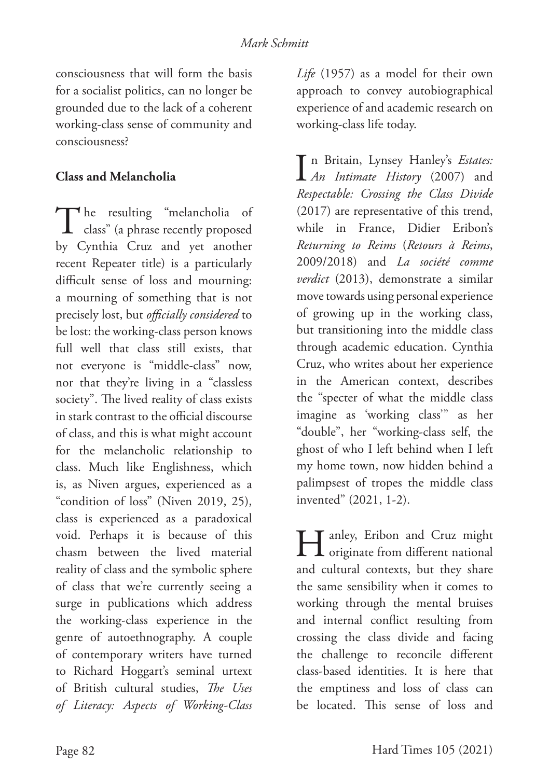consciousness that will form the basis for a socialist politics, can no longer be grounded due to the lack of a coherent working-class sense of community and consciousness?

#### **Class and Melancholia**

The resulting "melancholia of class" (a phrase recently proposed by Cynthia Cruz and yet another recent Repeater title) is a particularly difficult sense of loss and mourning: a mourning of something that is not precisely lost, but *officially considered* to be lost: the working-class person knows full well that class still exists, that not everyone is "middle-class" now, nor that they're living in a "classless society". The lived reality of class exists in stark contrast to the official discourse of class, and this is what might account for the melancholic relationship to class. Much like Englishness, which is, as Niven argues, experienced as a "condition of loss" (Niven 2019, 25), class is experienced as a paradoxical void. Perhaps it is because of this chasm between the lived material reality of class and the symbolic sphere of class that we're currently seeing a surge in publications which address the working-class experience in the genre of autoethnography. A couple of contemporary writers have turned to Richard Hoggart's seminal urtext of British cultural studies, *The Uses of Literacy: Aspects of Working-Class* 

*Life* (1957) as a model for their own approach to convey autobiographical experience of and academic research on working-class life today.

I *An Intimate History* (2007) and n Britain, Lynsey Hanley's *Estates: Respectable: Crossing the Class Divide* (2017) are representative of this trend, while in France, Didier Eribon's *Returning to Reims* (*Retours à Reims*, 2009/2018) and *La société comme verdict* (2013), demonstrate a similar move towards using personal experience of growing up in the working class, but transitioning into the middle class through academic education. Cynthia Cruz, who writes about her experience in the American context, describes the "specter of what the middle class imagine as 'working class'" as her "double", her "working-class self, the ghost of who I left behind when I left my home town, now hidden behind a palimpsest of tropes the middle class invented" (2021, 1-2).

Hanley, Eribon and Cruz might originate from different national and cultural contexts, but they share the same sensibility when it comes to working through the mental bruises and internal conflict resulting from crossing the class divide and facing the challenge to reconcile different class-based identities. It is here that the emptiness and loss of class can be located. This sense of loss and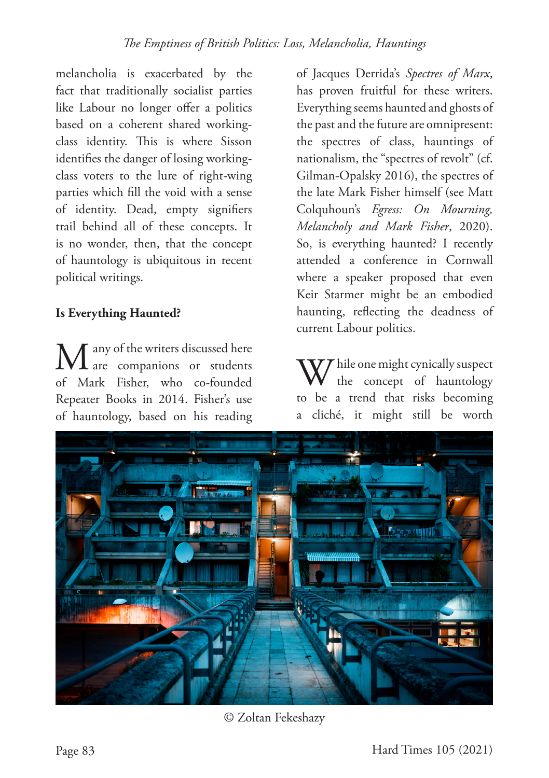melancholia is exacerbated by the fact that traditionally socialist parties like Labour no longer offer a politics based on a coherent shared workingclass identity. This is where Sisson identifies the danger of losing workingclass voters to the lure of right-wing parties which fill the void with a sense of identity. Dead, empty signifiers trail behind all of these concepts. It is no wonder, then, that the concept of hauntology is ubiquitous in recent political writings.

#### **Is Everything Haunted?**

 $\blacksquare$  any of the writers discussed here are companions or students of Mark Fisher, who co-founded Repeater Books in 2014. Fisher's use of hauntology, based on his reading of Jacques Derrida's *Spectres of Marx*, has proven fruitful for these writers. Everything seems haunted and ghosts of the past and the future are omnipresent: the spectres of class, hauntings of nationalism, the "spectres of revolt" (cf. Gilman-Opalsky 2016), the spectres of the late Mark Fisher himself (see Matt Colquhoun's *Egress: On Mourning, Melancholy and Mark Fisher*, 2020). So, is everything haunted? I recently attended a conference in Cornwall where a speaker proposed that even Keir Starmer might be an embodied haunting, reflecting the deadness of current Labour politics.

 $\mathcal T$  hile one might cynically suspect the concept of hauntology to be a trend that risks becoming a cliché, it might still be worth



© Zoltan Fekeshazy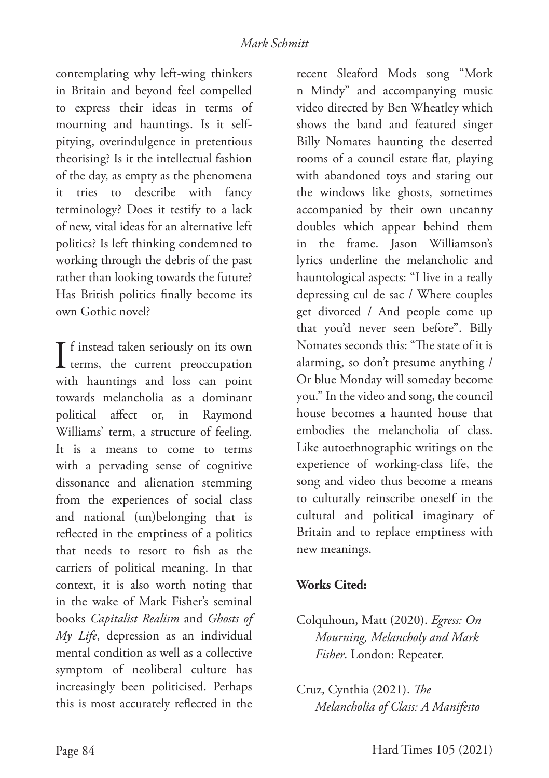contemplating why left-wing thinkers in Britain and beyond feel compelled to express their ideas in terms of mourning and hauntings. Is it selfpitying, overindulgence in pretentious theorising? Is it the intellectual fashion of the day, as empty as the phenomena it tries to describe with fancy terminology? Does it testify to a lack of new, vital ideas for an alternative left politics? Is left thinking condemned to working through the debris of the past rather than looking towards the future? Has British politics finally become its own Gothic novel?

 $\prod$  f instead taken seriously on its own<br>terms, the current preoccupation **T** f instead taken seriously on its own with hauntings and loss can point towards melancholia as a dominant political affect or, in Raymond Williams' term, a structure of feeling. It is a means to come to terms with a pervading sense of cognitive dissonance and alienation stemming from the experiences of social class and national (un)belonging that is reflected in the emptiness of a politics that needs to resort to fish as the carriers of political meaning. In that context, it is also worth noting that in the wake of Mark Fisher's seminal books *Capitalist Realism* and *Ghosts of My Life*, depression as an individual mental condition as well as a collective symptom of neoliberal culture has increasingly been politicised. Perhaps this is most accurately reflected in the

recent Sleaford Mods song "Mork n Mindy" and accompanying music video directed by Ben Wheatley which shows the band and featured singer Billy Nomates haunting the deserted rooms of a council estate flat, playing with abandoned toys and staring out the windows like ghosts, sometimes accompanied by their own uncanny doubles which appear behind them in the frame. Jason Williamson's lyrics underline the melancholic and hauntological aspects: "I live in a really depressing cul de sac / Where couples get divorced / And people come up that you'd never seen before". Billy Nomates seconds this: "The state of it is alarming, so don't presume anything / Or blue Monday will someday become you." In the video and song, the council house becomes a haunted house that embodies the melancholia of class. Like autoethnographic writings on the experience of working-class life, the song and video thus become a means to culturally reinscribe oneself in the cultural and political imaginary of Britain and to replace emptiness with new meanings.

### **Works Cited:**

- Colquhoun, Matt (2020). *Egress: On Mourning, Melancholy and Mark Fisher*. London: Repeater.
- Cruz, Cynthia (2021). *The Melancholia of Class: A Manifesto*